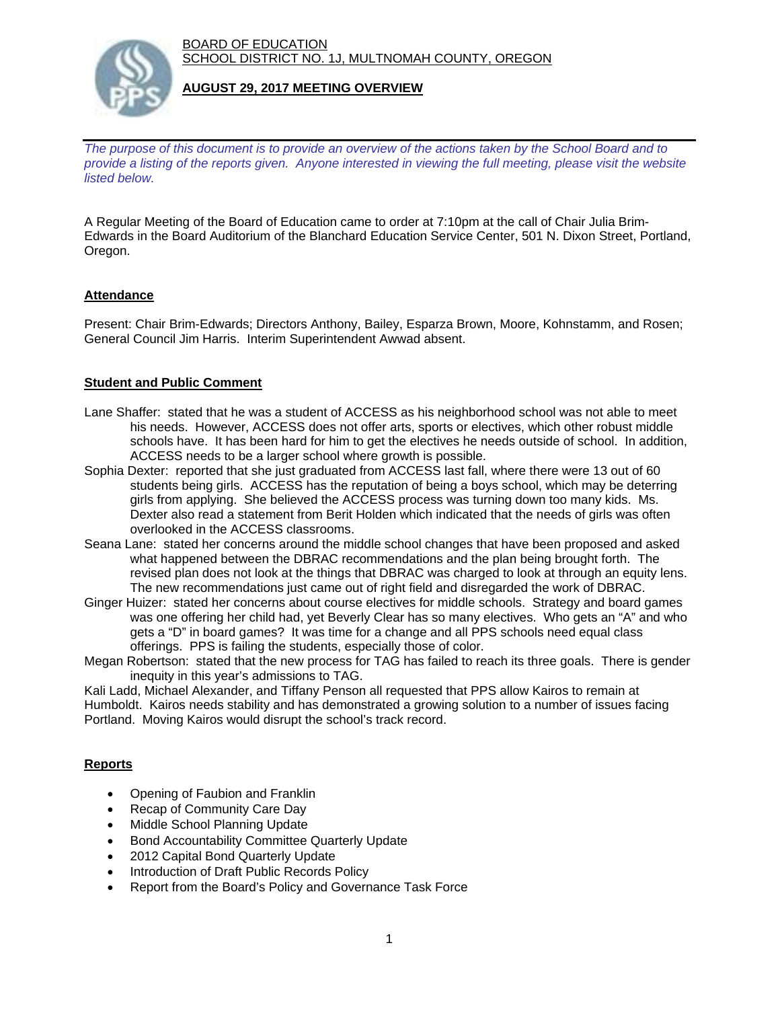BOARD OF EDUCATION SCHOOL DISTRICT NO. 1J, MULTNOMAH COUNTY, OREGON



### **AUGUST 29, 2017 MEETING OVERVIEW**

*The purpose of this document is to provide an overview of the actions taken by the School Board and to provide a listing of the reports given. Anyone interested in viewing the full meeting, please visit the website listed below.*

A Regular Meeting of the Board of Education came to order at 7:10pm at the call of Chair Julia Brim-Edwards in the Board Auditorium of the Blanchard Education Service Center, 501 N. Dixon Street, Portland, Oregon.

## **Attendance**

Present: Chair Brim-Edwards; Directors Anthony, Bailey, Esparza Brown, Moore, Kohnstamm, and Rosen; General Council Jim Harris. Interim Superintendent Awwad absent.

### **Student and Public Comment**

- Lane Shaffer: stated that he was a student of ACCESS as his neighborhood school was not able to meet his needs. However, ACCESS does not offer arts, sports or electives, which other robust middle schools have. It has been hard for him to get the electives he needs outside of school. In addition, ACCESS needs to be a larger school where growth is possible.
- Sophia Dexter: reported that she just graduated from ACCESS last fall, where there were 13 out of 60 students being girls. ACCESS has the reputation of being a boys school, which may be deterring girls from applying. She believed the ACCESS process was turning down too many kids. Ms. Dexter also read a statement from Berit Holden which indicated that the needs of girls was often overlooked in the ACCESS classrooms.
- Seana Lane: stated her concerns around the middle school changes that have been proposed and asked what happened between the DBRAC recommendations and the plan being brought forth. The revised plan does not look at the things that DBRAC was charged to look at through an equity lens. The new recommendations just came out of right field and disregarded the work of DBRAC.
- Ginger Huizer: stated her concerns about course electives for middle schools. Strategy and board games was one offering her child had, yet Beverly Clear has so many electives. Who gets an "A" and who gets a "D" in board games? It was time for a change and all PPS schools need equal class offerings. PPS is failing the students, especially those of color.
- Megan Robertson: stated that the new process for TAG has failed to reach its three goals. There is gender inequity in this year's admissions to TAG.

Kali Ladd, Michael Alexander, and Tiffany Penson all requested that PPS allow Kairos to remain at Humboldt. Kairos needs stability and has demonstrated a growing solution to a number of issues facing Portland. Moving Kairos would disrupt the school's track record.

## **Reports**

- Opening of Faubion and Franklin
- Recap of Community Care Day
- Middle School Planning Update
- **Bond Accountability Committee Quarterly Update**
- 2012 Capital Bond Quarterly Update
- Introduction of Draft Public Records Policy
- Report from the Board's Policy and Governance Task Force